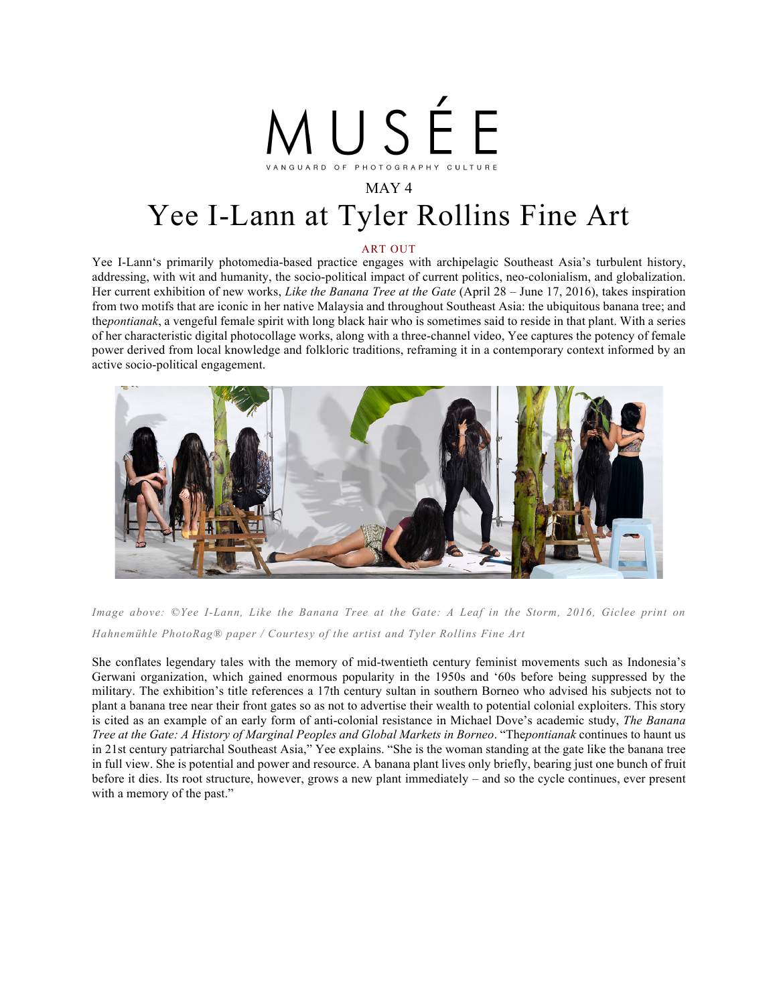

## MAY 4 Yee I-Lann at Tyler Rollins Fine Art

## ART OUT

Yee I-Lann's primarily photomedia-based practice engages with archipelagic Southeast Asia's turbulent history, addressing, with wit and humanity, the socio-political impact of current politics, neo-colonialism, and globalization. Her current exhibition of new works, *Like the Banana Tree at the Gate* (April 28 – June 17, 2016), takes inspiration from two motifs that are iconic in her native Malaysia and throughout Southeast Asia: the ubiquitous banana tree; and the*pontianak*, a vengeful female spirit with long black hair who is sometimes said to reside in that plant. With a series of her characteristic digital photocollage works, along with a three-channel video, Yee captures the potency of female power derived from local knowledge and folkloric traditions, reframing it in a contemporary context informed by an active socio-political engagement.



*Image above: ©Yee I-Lann, Like the Banana Tree at the Gate: A Leaf in the Storm, 2016, Giclee print on Hahnemühle PhotoRag® paper / Courtesy of the artist and Tyler Rollins Fine Art*

She conflates legendary tales with the memory of mid-twentieth century feminist movements such as Indonesia's Gerwani organization, which gained enormous popularity in the 1950s and '60s before being suppressed by the military. The exhibition's title references a 17th century sultan in southern Borneo who advised his subjects not to plant a banana tree near their front gates so as not to advertise their wealth to potential colonial exploiters. This story is cited as an example of an early form of anti-colonial resistance in Michael Dove's academic study, *The Banana Tree at the Gate: A History of Marginal Peoples and Global Markets in Borneo*. "The*pontianak* continues to haunt us in 21st century patriarchal Southeast Asia," Yee explains. "She is the woman standing at the gate like the banana tree in full view. She is potential and power and resource. A banana plant lives only briefly, bearing just one bunch of fruit before it dies. Its root structure, however, grows a new plant immediately – and so the cycle continues, ever present with a memory of the past."